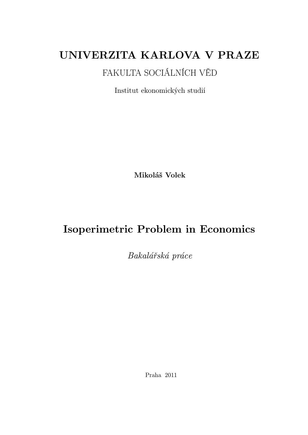# UNIVERZITA KARLOVA V PRAZE

# FAKULTA SOCIÁLNÍCH VĚD

Institut ekonomických studií

Mikoláš Volek

# Isoperimetric Problem in Economics

Bakalářská práce

Praha 2011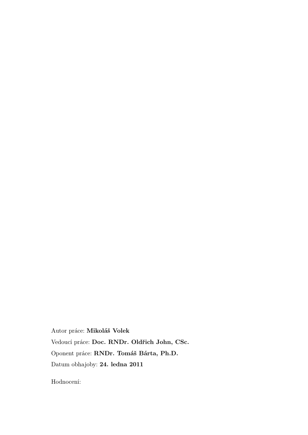Autor práce: Mikoláš Volek Vedoucí práce: Doc. RNDr. Oldřich John, CSc. Oponent práce: RNDr. Tomáš Bárta, Ph.D. Datum obhajoby: 24. ledna 2011

Hodnocení: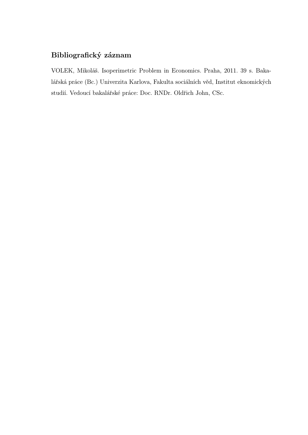# Bibliografický záznam

VOLEK, Mikoláš. Isoperimetric Problem in Economics. Praha, 2011. 39 s. Bakalářská práce (Bc.) Univerzita Karlova, Fakulta sociálních věd, Institut eknomických studií. Vedoucí bakalářské práce: Doc. RNDr. Oldřich John, CSc.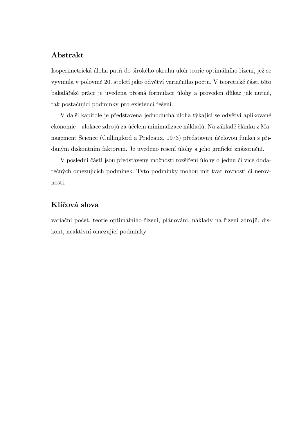## Abstrakt

Isoperimetrická úloha patří do širokého okruhu úloh teorie optimálního řízení, jež se vyvinula v polovině 20. století jako odvětví variačního počtu. V teoretické části této bakalářské práce je uvedena přesná formulace úlohy a proveden důkaz jak nutné, tak postačující podmínky pro existenci řešení.

V další kapitole je představena jednoduchá úloha týkající se odvětví aplikované ekonomie – alokace zdrojů za účelem minimalizace nákladů. Na základě článku z Management Science (Cullingford a Prideaux, 1973) představuji účelovou funkci s přidaným diskontním faktorem. Je uvedeno řešení úlohy a jeho grafické znázornění.

V poslední části jsou představeny možnosti rozšíření úlohy o jednu či více dodatečných omezujících podmínek. Tyto podmínky mohou mít tvar rovnosti či nerovnosti.

## Klíčová slova

variační počet, teorie optimálního řízení, plánování, náklady na řízení zdrojů, diskont, neaktivní omezující podmínky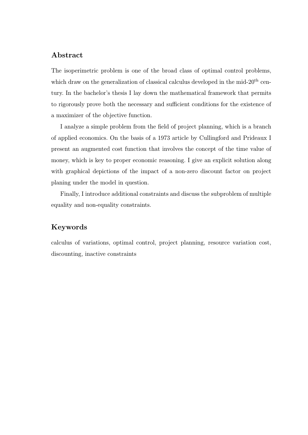## Abstract

The isoperimetric problem is one of the broad class of optimal control problems, which draw on the generalization of classical calculus developed in the mid- $20<sup>th</sup>$  century. In the bachelor's thesis I lay down the mathematical framework that permits to rigorously prove both the necessary and sufficient conditions for the existence of a maximizer of the objective function.

I analyze a simple problem from the field of project planning, which is a branch of applied economics. On the basis of a 1973 article by Cullingford and Prideaux I present an augmented cost function that involves the concept of the time value of money, which is key to proper economic reasoning. I give an explicit solution along with graphical depictions of the impact of a non-zero discount factor on project planing under the model in question.

Finally, I introduce additional constraints and discuss the subproblem of multiple equality and non-equality constraints.

## Keywords

calculus of variations, optimal control, project planning, resource variation cost, discounting, inactive constraints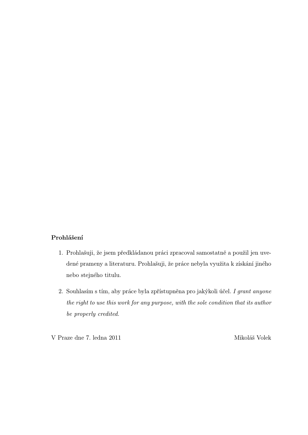## Prohlášení

- 1. Prohlašuji, že jsem předkládanou práci zpracoval samostatně a použil jen uvedené prameny a literaturu. Prohlašuji, že práce nebyla využita k získání jiného nebo stejného titulu.
- 2. Souhlasím s tím, aby práce byla zpřístupněna pro jakýkoli účel. I grant anyone the right to use this work for any purpose, with the sole condition that its author be properly credited.

V Praze dne 7. ledna 2011 Mikoláš Volek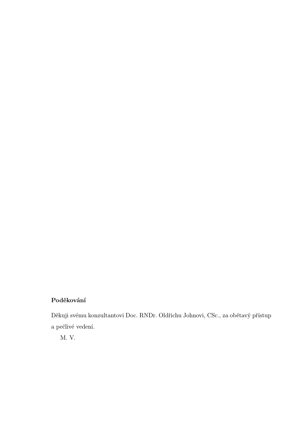# Poděkování

Děkuji svému konzultantovi Doc. RNDr. Oldřichu Johnovi, CSc., za obětavý přístup a pečlivé vedení.

M. V.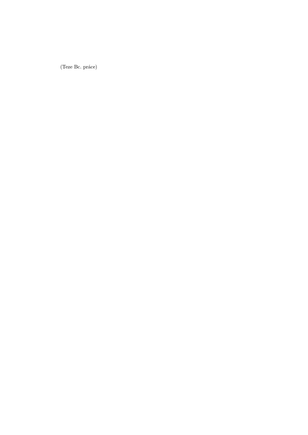(Teze Bc. práce)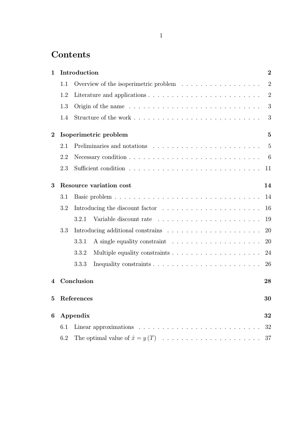# **Contents**

| $\mathbf 1$    |     | Introduction                                                                                | $\overline{2}$ |  |  |  |
|----------------|-----|---------------------------------------------------------------------------------------------|----------------|--|--|--|
|                | 1.1 | Overview of the isoperimetric problem $\ldots \ldots \ldots \ldots \ldots$                  | $\overline{2}$ |  |  |  |
|                | 1.2 |                                                                                             | $\overline{2}$ |  |  |  |
|                | 1.3 |                                                                                             | 3              |  |  |  |
|                | 1.4 |                                                                                             |                |  |  |  |
| $\overline{2}$ |     | Isoperimetric problem                                                                       | $\overline{5}$ |  |  |  |
|                | 2.1 | Preliminaries and notations $\ldots \ldots \ldots \ldots \ldots \ldots \ldots \ldots 5$     |                |  |  |  |
|                | 2.2 | Necessary condition $\ldots \ldots \ldots \ldots \ldots \ldots \ldots \ldots \ldots \ldots$ |                |  |  |  |
|                | 2.3 |                                                                                             |                |  |  |  |
| 3              |     | 14<br><b>Resource variation cost</b>                                                        |                |  |  |  |
|                | 3.1 |                                                                                             | 14             |  |  |  |
|                | 3.2 |                                                                                             | 16             |  |  |  |
|                |     | 3.2.1                                                                                       | 19             |  |  |  |
|                | 3.3 | Introducing additional constrains $\ldots \ldots \ldots \ldots \ldots \ldots \ldots$        | 20             |  |  |  |
|                |     | 3.3.1                                                                                       |                |  |  |  |
|                |     | 3.3.2                                                                                       | 24             |  |  |  |
|                |     | 3.3.3                                                                                       | 26             |  |  |  |
| 4              |     | Conclusion                                                                                  | 28             |  |  |  |
| 5 <sup>5</sup> |     | References                                                                                  | 30             |  |  |  |
| 6              |     | Appendix                                                                                    | 32             |  |  |  |
|                | 6.1 |                                                                                             | 32             |  |  |  |
|                | 6.2 |                                                                                             | 37             |  |  |  |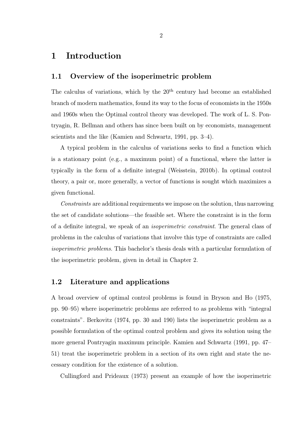# 1 Introduction

## 1.1 Overview of the isoperimetric problem

The calculus of variations, which by the  $20<sup>th</sup>$  century had become an established branch of modern mathematics, found its way to the focus of economists in the 1950s and 1960s when the Optimal control theory was developed. The work of L. S. Pontryagin, R. Bellman and others has since been built on by economists, management scientists and the like (Kamien and Schwartz, 1991, pp. 3–4).

A typical problem in the calculus of variations seeks to find a function which is a stationary point (e.g., a maximum point) of a functional, where the latter is typically in the form of a definite integral (Weisstein, 2010b). In optimal control theory, a pair or, more generally, a vector of functions is sought which maximizes a given functional.

Constraints are additional requirements we impose on the solution, thus narrowing the set of candidate solutions—the feasible set. Where the constraint is in the form of a definite integral, we speak of an isoperimetric constraint. The general class of problems in the calculus of variations that involve this type of constraints are called isoperimetric problems. This bachelor's thesis deals with a particular formulation of the isoperimetric problem, given in detail in Chapter 2.

#### 1.2 Literature and applications

A broad overview of optimal control problems is found in Bryson and Ho (1975, pp. 90–95) where isoperimetric problems are referred to as problems with "integral constraints". Berkovitz (1974, pp. 30 and 190) lists the isoperimetric problem as a possible formulation of the optimal control problem and gives its solution using the more general Pontryagin maximum principle. Kamien and Schwartz (1991, pp. 47– 51) treat the isoperimetric problem in a section of its own right and state the necessary condition for the existence of a solution.

Cullingford and Prideaux (1973) present an example of how the isoperimetric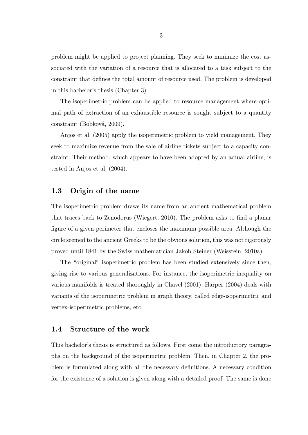problem might be applied to project planning. They seek to minimize the cost associated with the variation of a resource that is allocated to a task subject to the constraint that defines the total amount of resource used. The problem is developed in this bachelor's thesis (Chapter 3).

The isoperimetric problem can be applied to resource management where optimal path of extraction of an exhaustible resource is sought subject to a quantity constraint (Bobková, 2009).

Anjos et al. (2005) apply the isoperimetric problem to yield management. They seek to maximize revenue from the sale of airline tickets subject to a capacity constraint. Their method, which appears to have been adopted by an actual airline, is tested in Anjos et al. (2004).

## 1.3 Origin of the name

The isoperimetric problem draws its name from an ancient mathematical problem that traces back to Zenodorus (Wiegert, 2010). The problem asks to find a planar figure of a given perimeter that encloses the maximum possible area. Although the circle seemed to the ancient Greeks to be the obvious solution, this was not rigorously proved until 1841 by the Swiss mathematician Jakob Steiner (Weisstein, 2010a).

The "original" isoperimetric problem has been studied extensively since then, giving rise to various generalizations. For instance, the isoperimetric inequality on various manifolds is treated thoroughly in Chavel (2001), Harper (2004) deals with variants of the isoperimetric problem in graph theory, called edge-isoperimetric and vertex-isoperimetric problems, etc.

#### 1.4 Structure of the work

This bachelor's thesis is structured as follows. First come the introductory paragraphs on the background of the isoperimetric problem. Then, in Chapter 2, the problem is formulated along with all the necessary definitions. A necessary condition for the existence of a solution is given along with a detailed proof. The same is done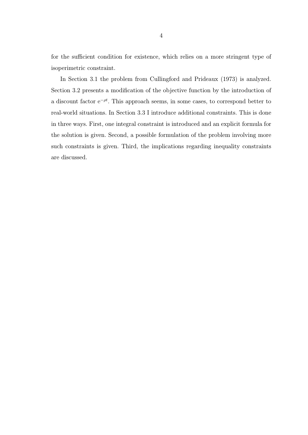for the sufficient condition for existence, which relies on a more stringent type of isoperimetric constraint.

In Section 3.1 the problem from Cullingford and Prideaux (1973) is analyzed. Section 3.2 presents a modification of the objective function by the introduction of a discount factor  $e^{-\rho t}$ . This approach seems, in some cases, to correspond better to real-world situations. In Section 3.3 I introduce additional constraints. This is done in three ways. First, one integral constraint is introduced and an explicit formula for the solution is given. Second, a possible formulation of the problem involving more such constraints is given. Third, the implications regarding inequality constraints are discussed.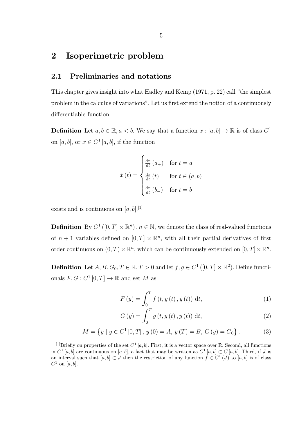# 2 Isoperimetric problem

### 2.1 Preliminaries and notations

This chapter gives insight into what Hadley and Kemp (1971, p. 22) call "the simplest problem in the calculus of variations". Let us first extend the notion of a continuously differentiable function.

**Definition** Let  $a, b \in \mathbb{R}, a < b$ . We say that a function  $x : [a, b] \to \mathbb{R}$  is of class  $C^1$ on [a, b], or  $x \in C^1[a, b]$ , if the function

$$
\dot{x}(t) = \begin{cases} \frac{dx}{dt}(a_+) & \text{for } t = a \\ \frac{dx}{dt}(t) & \text{for } t \in (a, b) \\ \frac{dx}{dt}(b_-) & \text{for } t = b \end{cases}
$$

exists and is continuous on  $[a, b]$ .<sup>[1]</sup>

**Definition** By  $C^1([0,T] \times \mathbb{R}^n)$ ,  $n \in \mathbb{N}$ , we denote the class of real-valued functions of  $n+1$  variables defined on  $[0,T] \times \mathbb{R}^n$ , with all their partial derivatives of first order continuous on  $(0, T) \times \mathbb{R}^n$ , which can be continuously extended on  $[0, T] \times \mathbb{R}^n$ .

**Definition** Let  $A, B, G_0, T \in \mathbb{R}, T > 0$  and let  $f, g \in C^1([0, T] \times \mathbb{R}^2)$ . Define functionals  $F, G : C^1[0,T] \to \mathbb{R}$  and set M as

$$
F(y) = \int_0^T f(t, y(t), \dot{y}(t)) dt,
$$
\n(1)

$$
G(y) = \int_0^T g(t, y(t), \dot{y}(t)) dt,
$$
\n(2)

$$
M = \{ y \mid y \in C^{1}[0, T], y(0) = A, y(T) = B, G(y) = G_{0} \}.
$$
 (3)

<sup>&</sup>lt;sup>[1]</sup>Briefly on properties of the set  $C^1$  [a, b]. First, it is a vector space over R. Second, all functions in  $C^1[a,b]$  are continuous on  $[a,b]$ , a fact that may be written as  $C^1[a,b] \subset C[a,b]$ . Third, if J is an interval such that  $[a, b] \subset J$  then the restriction of any function  $f \in C^1(J)$  to  $[a, b]$  is of class  $C^1$  on [a, b].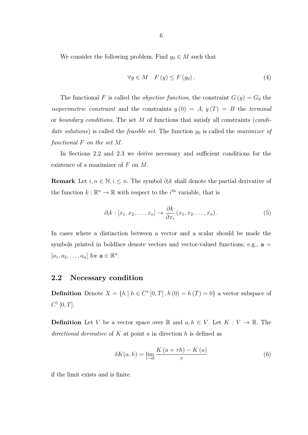We consider the following problem. Find  $y_0 \in M$  such that

$$
\forall y \in M \quad F(y) \le F(y_0). \tag{4}
$$

The functional F is called the *objective function*, the constraint  $G(y) = G_0$  the *isoperimetric constraint* and the constraints  $y(0) = A$ ,  $y(T) = B$  the terminal or boundary conditions. The set M of functions that satisfy all constraints (candidate solutions) is called the *feasible set*. The function  $y_0$  is called the *maximizer* of functional F on the set M.

In Sections 2.2 and 2.3 we derive necessary and sufficient conditions for the existence of a maximizer of F on M.

**Remark** Let  $i, n \in \mathbb{N}, i \leq n$ . The symbol  $\partial_i k$  shall denote the partial derivative of the function  $k: \mathbb{R}^n \to \mathbb{R}$  with respect to the *i*<sup>th</sup> variable, that is

$$
\partial_i k : [x_1, x_2, \dots, x_n] \to \frac{\partial k}{\partial x_i} (x_1, x_2, \dots, x_n).
$$
 (5)

In cases where a distinction between a vector and a scalar should be made the symbols printed in boldface denote vectors and vector-valued functions, e.g.,  $\mathbf{a} =$  $[a_1, a_2, \ldots, a_n]$  for  $\mathbf{a} \in \mathbb{R}^n$ .

#### 2.2 Necessary condition

**Definition** Denote  $X = \{h \mid h \in C^1[0,T], h(0) = h(T) = 0\}$  a vector subspace of  $C^{1}[0,T].$ 

**Definition** Let V be a vector space over R and  $a, h \in V$ . Let  $K : V \to \mathbb{R}$ . The directional derivative of K at point a in direction h is defined as

$$
\delta K(a, h) = \lim_{\tau \to 0} \frac{K(a + \tau h) - K(a)}{\tau}
$$
\n(6)

if the limit exists and is finite.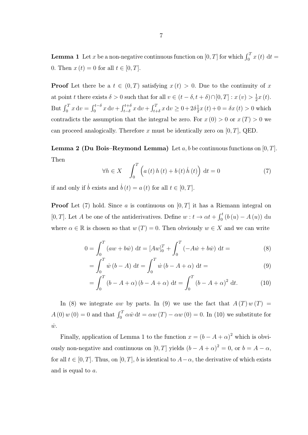**Lemma 1** Let x be a non-negative continuous function on  $[0, T]$  for which  $\int_0^T x(t) dt =$ 0. Then  $x(t) = 0$  for all  $t \in [0, T]$ .

**Proof** Let there be a  $t \in (0, T)$  satisfying  $x(t) > 0$ . Due to the continuity of x at point t there exists  $\delta > 0$  such that for all  $v \in (t - \delta, t + \delta) \cap [0, T] : x(v) > \frac{1}{2}$  $\frac{1}{2}x(t)$ . But  $\int_0^T x \, dv = \int_0^{t-\delta} x \, dv + \int_{t-\delta}^{t+\delta} x \, dv + \int_{t+\delta}^T x \, dv \ge 0 + 2\delta \frac{1}{2}$  $\frac{1}{2}x(t) + 0 = \delta x(t) > 0$  which contradicts the assumption that the integral be zero. For  $x(0) > 0$  or  $x(T) > 0$  we can proceed analogically. Therefore x must be identically zero on  $[0, T]$ , QED.

**Lemma 2 (Du Bois–Reymond Lemma)** Let  $a, b$  be continuous functions on  $[0, T]$ . Then

$$
\forall h \in X \quad \int_0^T \left( a(t) \, h(t) + b(t) \, \dot{h}(t) \right) \, \mathrm{d}t = 0 \tag{7}
$$

if and only if  $\dot{b}$  exists and  $\dot{b}(t) = a(t)$  for all  $t \in [0, T]$ .

**Proof** Let (7) hold. Since a is continuous on  $[0, T]$  it has a Riemann integral on [0, T]. Let A be one of the antiderivatives. Define  $w: t \to \alpha t + \int_0^t (b(u) - A(u)) du$ where  $\alpha \in \mathbb{R}$  is chosen so that  $w(T) = 0$ . Then obviously  $w \in X$  and we can write

$$
0 = \int_0^T (aw + b\dot{w}) dt = [Aw]_0^T + \int_0^T (-A\dot{w} + b\dot{w}) dt =
$$
(8)

$$
= \int_0^T \dot{w} (b - A) dt = \int_0^T \dot{w} (b - A + \alpha) dt = \tag{9}
$$

$$
= \int_0^T (b - A + \alpha) (b - A + \alpha) dt = \int_0^T (b - A + \alpha)^2 dt.
$$
 (10)

In (8) we integrate aw by parts. In (9) we use the fact that  $A(T)w(T) =$  $A(0) w(0) = 0$  and that  $\int_0^T \alpha \dot{w} dt = \alpha w(T) - \alpha w(0) = 0$ . In (10) we substitute for  $\dot{w}$ .

Finally, application of Lemma 1 to the function  $x = (b - A + \alpha)^2$  which is obviously non-negative and continuous on [0, T] yields  $(b - A + \alpha)^2 = 0$ , or  $b = A - \alpha$ , for all  $t \in [0, T]$ . Thus, on  $[0, T]$ , b is identical to  $A - \alpha$ , the derivative of which exists and is equal to a.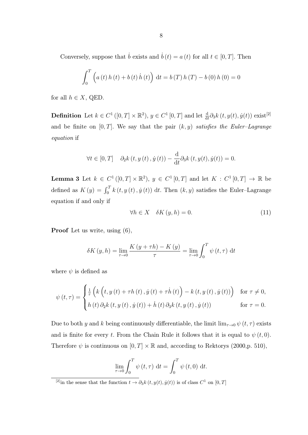Conversely, suppose that  $\dot{b}$  exists and  $\dot{b}(t) = a(t)$  for all  $t \in [0, T]$ . Then

$$
\int_0^T \left( a(t) h(t) + b(t) h(t) \right) dt = b(T) h(T) - b(0) h(0) = 0
$$

for all  $h \in X$ , QED.

**Definition** Let  $k \in C^1([0, T] \times \mathbb{R}^2)$ ,  $y \in C^1[0, T]$  and let  $\frac{d}{dt} \partial_3 k(t, y(t), \dot{y}(t))$  exist<sup>[2]</sup> and be finite on  $[0, T]$ . We say that the pair  $(k, y)$  satisfies the Euler–Lagrange equation if

$$
\forall t \in [0, T] \quad \partial_2 k(t, y(t), \dot{y}(t)) - \frac{\mathrm{d}}{\mathrm{d}t} \partial_3 k(t, y(t), \dot{y}(t)) = 0.
$$

**Lemma 3** Let  $k \in C^1([0,T] \times \mathbb{R}^2)$ ,  $y \in C^1[0,T]$  and let  $K : C^1[0,T] \to \mathbb{R}$  be defined as  $K(y) = \int_0^T k(t, y(t), \dot{y}(t)) dt$ . Then  $(k, y)$  satisfies the Euler-Lagrange equation if and only if

$$
\forall h \in X \quad \delta K(y, h) = 0. \tag{11}
$$

Proof Let us write, using (6),

$$
\delta K(y, h) = \lim_{\tau \to 0} \frac{K(y + \tau h) - K(y)}{\tau} = \lim_{\tau \to 0} \int_0^T \psi(t, \tau) dt
$$

where  $\psi$  is defined as

$$
\psi(t,\tau) = \begin{cases} \frac{1}{\tau} \left( k \left( t, y(t) + \tau h(t), \dot{y}(t) + \tau \dot{h}(t) \right) - k(t, y(t), \dot{y}(t)) \right) & \text{for } \tau \neq 0, \\ h(t) \, \partial_2 k(t, y(t), \dot{y}(t)) + \dot{h}(t) \, \partial_3 k(t, y(t), \dot{y}(t)) & \text{for } \tau = 0. \end{cases}
$$

Due to both y and k being continuously differentiable, the limit  $\lim_{\tau\to 0} \psi(t,\tau)$  exists and is finite for every t. From the Chain Rule it follows that it is equal to  $\psi(t,0)$ . Therefore  $\psi$  is continuous on  $[0, T] \times \mathbb{R}$  and, according to Rektorys (2000, p. 510),

$$
\lim_{\tau \to 0} \int_0^T \psi(t, \tau) dt = \int_0^T \psi(t, 0) dt.
$$

<sup>&</sup>lt;sup>[2]</sup>in the sense that the function  $t \to \partial_3 k(t, y(t), \dot{y}(t))$  is of class  $C^1$  on  $[0, T]$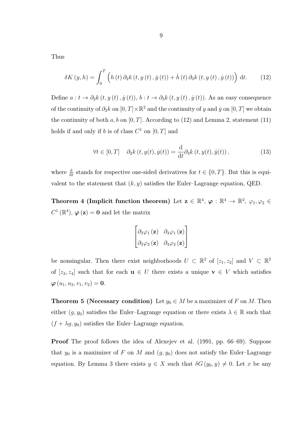Thus

$$
\delta K(y, h) = \int_0^T \left( h(t) \, \partial_2 k(t, y(t), \dot{y}(t)) + \dot{h}(t) \, \partial_3 k(t, y(t), \dot{y}(t)) \right) \, \mathrm{d}t. \tag{12}
$$

Define  $a: t \to \partial_2 k(t, y(t), \dot{y}(t)), b: t \to \partial_3 k(t, y(t), \dot{y}(t)).$  As an easy consequence of the continuity of  $\partial_2 k$  on  $[0,T] \times \mathbb{R}^2$  and the continuity of y and y on  $[0,T]$  we obtain the continuity of both  $a, b$  on  $[0, T]$ . According to (12) and Lemma 2, statement (11) holds if and only if b is of class  $C^1$  on  $[0, T]$  and

$$
\forall t \in [0, T] \quad \partial_2 k(t, y(t), \dot{y}(t)) = \frac{\mathrm{d}}{\mathrm{d}t} \partial_3 k(t, y(t), \dot{y}(t)), \tag{13}
$$

where  $\frac{d}{dt}$  stands for respective one-sided derivatives for  $t \in \{0, T\}$ . But this is equivalent to the statement that  $(k, y)$  satisfies the Euler–Lagrange equation, QED.

Theorem 4 (Implicit function theorem) Let  $\mathbf{z} \in \mathbb{R}^4$ ,  $\varphi : \mathbb{R}^4 \to \mathbb{R}^2$ ,  $\varphi_1, \varphi_2 \in \mathbb{R}^4$  $C^1(\mathbb{R}^4)$ ,  $\varphi(\mathbf{z}) = \mathbf{0}$  and let the matrix

$$
\begin{bmatrix}\n\partial_3\varphi_1(\mathbf{z}) & \partial_4\varphi_1(\mathbf{z}) \\
\partial_3\varphi_2(\mathbf{z}) & \partial_4\varphi_2(\mathbf{z})\n\end{bmatrix}
$$

be nonsingular. Then there exist neighborhoods  $U \subset \mathbb{R}^2$  of  $[z_1, z_2]$  and  $V \subset \mathbb{R}^2$ of  $[z_3, z_4]$  such that for each  $u \in U$  there exists a unique  $v \in V$  which satisfies  $\boldsymbol{\varphi}(u_1, u_2, v_1, v_2) = \mathbf{0}.$ 

**Theorem 5 (Necessary condition)** Let  $y_0 \in M$  be a maximizer of F on M. Then either  $(g, y_0)$  satisfies the Euler–Lagrange equation or there exists  $\lambda \in \mathbb{R}$  such that  $(f + \lambda g, y_0)$  satisfies the Euler–Lagrange equation.

Proof The proof follows the idea of Alexejev et al. (1991, pp. 66–69). Suppose that  $y_0$  is a maximizer of F on M and  $(g, y_0)$  does not satisfy the Euler–Lagrange equation. By Lemma 3 there exists  $y \in X$  such that  $\delta G(y_0, y) \neq 0$ . Let x be any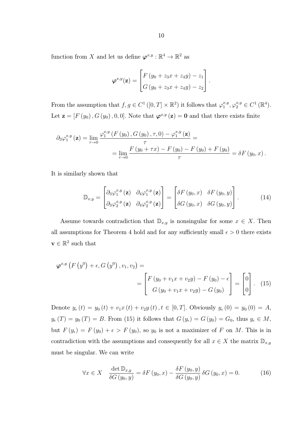function from X and let us define  $\varphi^{x,y} : \mathbb{R}^4 \to \mathbb{R}^2$  as

$$
\varphi^{x,y}(\mathbf{z}) = \begin{bmatrix} F(y_0 + z_3x + z_4y) - z_1 \\ G(y_0 + z_3x + z_4y) - z_2 \end{bmatrix}.
$$

From the assumption that  $f, g \in C^1([0,T] \times \mathbb{R}^2)$  it follows that  $\varphi_1^{x,y}$  $j_1^{x,y}, \varphi_2^{x,y} \in C^1(\mathbb{R}^4).$ Let  $\mathbf{z} = [F(y_0), G(y_0), 0, 0]$ . Note that  $\boldsymbol{\varphi}^{x,y}(\mathbf{z}) = \mathbf{0}$  and that there exists finite

$$
\partial_3 \varphi_1^{x,y} (\mathbf{z}) = \lim_{\tau \to 0} \frac{\varphi_1^{x,y} (F(y_0), G(y_0), \tau, 0) - \varphi_1^{x,y} (\mathbf{z})}{\tau} =
$$
  
= 
$$
\lim_{\tau \to 0} \frac{F(y_0 + \tau x) - F(y_0) - F(y_0) + F(y_0)}{\tau} = \delta F(y_0, x).
$$

It is similarly shown that

$$
\mathbb{D}_{x,y} = \begin{bmatrix} \partial_3 \varphi_1^{x,y}(\mathbf{z}) & \partial_4 \varphi_1^{x,y}(\mathbf{z}) \\ \partial_3 \varphi_2^{x,y}(\mathbf{z}) & \partial_4 \varphi_2^{x,y}(\mathbf{z}) \end{bmatrix} = \begin{bmatrix} \delta F(y_0, x) & \delta F(y_0, y) \\ \delta G(y_0, x) & \delta G(y_0, y) \end{bmatrix} . \tag{14}
$$

Assume towards contradiction that  $\mathbb{D}_{x,y}$  is nonsingular for some  $x \in X$ . Then all assumptions for Theorem 4 hold and for any sufficiently small  $\epsilon > 0$  there exists  $\mathbf{v} \in \mathbb{R}^2$  such that

$$
\varphi^{x,y} \left( F \left( y^0 \right) + \epsilon, G \left( y^0 \right), v_1, v_2 \right) = \\ = \begin{bmatrix} F \left( y_0 + v_1 x + v_2 y \right) - F \left( y_0 \right) - \epsilon \\ G \left( y_0 + v_1 x + v_2 y \right) - G \left( y_0 \right) \end{bmatrix} = \begin{bmatrix} 0 \\ 0 \end{bmatrix} . \tag{15}
$$

Denote  $y_{\epsilon}(t) = y_0(t) + v_1 x(t) + v_2 y(t)$ ,  $t \in [0, T]$ . Obviously  $y_{\epsilon}(0) = y_0(0) = A$ ,  $y_{\epsilon}(T) = y_0(T) = B$ . From (15) it follows that  $G(y_{\epsilon}) = G(y_0) = G_0$ , thus  $y_{\epsilon} \in M$ , but  $F(y_\epsilon) = F(y_0) + \epsilon > F(y_0)$ , so  $y_0$  is not a maximizer of F on M. This is in contradiction with the assumptions and consequently for all  $x \in X$  the matrix  $\mathbb{D}_{x,y}$ must be singular. We can write

$$
\forall x \in X \quad \frac{\det \mathbb{D}_{x,y}}{\delta G(y_0, y)} = \delta F(y_0, x) - \frac{\delta F(y_0, y)}{\delta G(y_0, y)} \delta G(y_0, x) = 0. \tag{16}
$$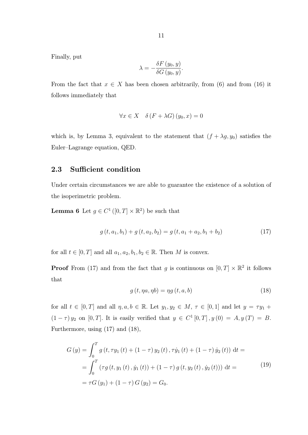Finally, put

$$
\lambda = -\frac{\delta F(y_0, y)}{\delta G(y_0, y)}.
$$

From the fact that  $x \in X$  has been chosen arbitrarily, from (6) and from (16) it follows immediately that

$$
\forall x \in X \quad \delta(F + \lambda G)(y_0, x) = 0
$$

which is, by Lemma 3, equivalent to the statement that  $(f + \lambda g, y_0)$  satisfies the Euler–Lagrange equation, QED.

## 2.3 Sufficient condition

Under certain circumstances we are able to guarantee the existence of a solution of the isoperimetric problem.

**Lemma 6** Let  $g \in C^1([0,T] \times \mathbb{R}^2)$  be such that

$$
g(t, a_1, b_1) + g(t, a_2, b_2) = g(t, a_1 + a_2, b_1 + b_2)
$$
\n(17)

for all  $t \in [0, T]$  and all  $a_1, a_2, b_1, b_2 \in \mathbb{R}$ . Then M is convex.

**Proof** From (17) and from the fact that g is continuous on  $[0, T] \times \mathbb{R}^2$  it follows that

$$
g(t, \eta a, \eta b) = \eta g(t, a, b) \tag{18}
$$

for all  $t \in [0, T]$  and all  $\eta, a, b \in \mathbb{R}$ . Let  $y_1, y_2 \in M$ ,  $\tau \in [0, 1]$  and let  $y = \tau y_1 +$  $(1 - \tau) y_2$  on [0, T]. It is easily verified that  $y \in C^1[0,T]$ ,  $y(0) = A$ ,  $y(T) = B$ . Furthermore, using (17) and (18),

$$
G(y) = \int_0^T g(t, \tau y_1(t) + (1 - \tau) y_2(t), \tau \dot{y}_1(t) + (1 - \tau) \dot{y}_2(t)) dt =
$$
  
= 
$$
\int_0^T (\tau g(t, y_1(t), \dot{y}_1(t)) + (1 - \tau) g(t, y_2(t), \dot{y}_2(t))) dt =
$$
  
= 
$$
\tau G(y_1) + (1 - \tau) G(y_2) = G_0.
$$
 (19)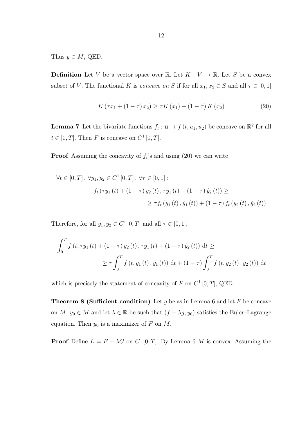Thus  $y \in M$ , QED.

**Definition** Let V be a vector space over R. Let  $K: V \to \mathbb{R}$ . Let S be a convex subset of V. The functional K is concave on S if for all  $x_1, x_2 \in S$  and all  $\tau \in [0,1]$ 

$$
K(\tau x_1 + (1 - \tau) x_2) \ge \tau K(x_1) + (1 - \tau) K(x_2)
$$
\n(20)

**Lemma 7** Let the bivariate functions  $f_t: \mathbf{u} \to f(t, u_1, u_2)$  be concave on  $\mathbb{R}^2$  for all  $t \in [0, T]$ . Then F is concave on  $C^1[0, T]$ .

**Proof** Assuming the concavity of  $f_t$ 's and using (20) we can write

$$
\forall t \in [0, T], \forall y_1, y_2 \in C^1 [0, T], \forall \tau \in [0, 1]:
$$
  

$$
f_t(\tau y_1(t) + (1 - \tau) y_2(t), \tau \dot{y}_1(t) + (1 - \tau) \dot{y}_2(t)) \ge
$$
  

$$
\ge \tau f_t (y_1(t), \dot{y}_1(t)) + (1 - \tau) f_t (y_2(t), \dot{y}_2(t))
$$

Therefore, for all  $y_1, y_2 \in C^1[0, T]$  and all  $\tau \in [0, 1]$ ,

$$
\int_{0}^{T} f(t, \tau y_{1}(t) + (1 - \tau) y_{2}(t), \tau \dot{y}_{1}(t) + (1 - \tau) \dot{y}_{2}(t)) dt \ge
$$
\n
$$
\ge \tau \int_{0}^{T} f(t, y_{1}(t), \dot{y}_{1}(t)) dt + (1 - \tau) \int_{0}^{T} f(t, y_{2}(t), \dot{y}_{2}(t)) dt
$$

which is precisely the statement of concavity of F on  $C^1[0,T]$ , QED.

**Theorem 8 (Sufficient condition)** Let g be as in Lemma 6 and let F be concave on M,  $y_0 \in M$  and let  $\lambda \in \mathbb{R}$  be such that  $(f + \lambda g, y_0)$  satisfies the Euler–Lagrange equation. Then  $y_0$  is a maximizer of F on M.

**Proof** Define  $L = F + \lambda G$  on  $C^1[0, T]$ . By Lemma 6 M is convex. Assuming the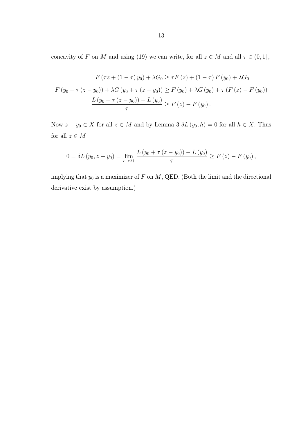concavity of  $F$  on  $M$  and using (19) we can write, for all  $z \in M$  and all  $\tau \in (0,1]$ ,

$$
F(\tau z + (1 - \tau) y_0) + \lambda G_0 \ge \tau F(z) + (1 - \tau) F(y_0) + \lambda G_0
$$
  

$$
F(y_0 + \tau (z - y_0)) + \lambda G(y_0 + \tau (z - y_0)) \ge F(y_0) + \lambda G(y_0) + \tau (F(z) - F(y_0))
$$
  

$$
\frac{L(y_0 + \tau (z - y_0)) - L(y_0)}{\tau} \ge F(z) - F(y_0).
$$

Now  $z - y_0 \in X$  for all  $z \in M$  and by Lemma 3  $\delta L(y_0, h) = 0$  for all  $h \in X$ . Thus for all  $z\in M$ 

$$
0 = \delta L (y_0, z - y_0) = \lim_{\tau \to 0+} \frac{L (y_0 + \tau (z - y_0)) - L (y_0)}{\tau} \ge F (z) - F (y_0),
$$

implying that  $y_0$  is a maximizer of  $F$  on  $M$ , QED. (Both the limit and the directional derivative exist by assumption.)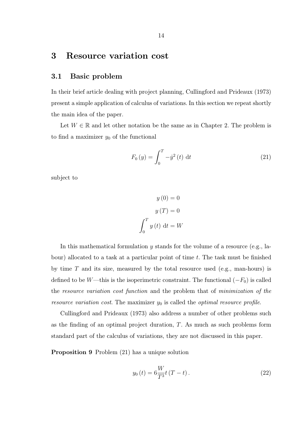# 3 Resource variation cost

## 3.1 Basic problem

In their brief article dealing with project planning, Cullingford and Prideaux (1973) present a simple application of calculus of variations. In this section we repeat shortly the main idea of the paper.

Let  $W \in \mathbb{R}$  and let other notation be the same as in Chapter 2. The problem is to find a maximizer  $y_0$  of the functional

$$
F_0(y) = \int_0^T -\dot{y}^2(t) dt
$$
 (21)

subject to

$$
y(0) = 0
$$

$$
y(T) = 0
$$

$$
\int_0^T y(t) dt = W
$$

In this mathematical formulation  $y$  stands for the volume of a resource (e.g., labour) allocated to a task at a particular point of time  $t$ . The task must be finished by time  $T$  and its size, measured by the total resource used (e.g., man-hours) is defined to be W—this is the isoperimetric constraint. The functional  $(-F_0)$  is called the resource variation cost function and the problem that of minimization of the resource variation cost. The maximizer  $y_0$  is called the optimal resource profile.

Cullingford and Prideaux (1973) also address a number of other problems such as the finding of an optimal project duration, T. As much as such problems form standard part of the calculus of variations, they are not discussed in this paper.

Proposition 9 Problem (21) has a unique solution

$$
y_0(t) = 6\frac{W}{T^3}t(T-t).
$$
 (22)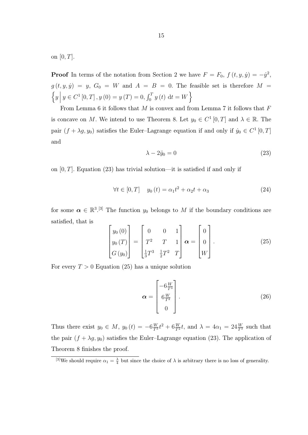on  $[0, T]$ .

**Proof** In terms of the notation from Section 2 we have  $F = F_0$ ,  $f(t, y, \dot{y}) = -\dot{y}^2$ ,  $g(t, y, \dot{y}) = y$ ,  $G_0 = W$  and  $A = B = 0$ . The feasible set is therefore  $M =$  $\left\{y \middle| y \in C^{1}[0, T], y(0) = y(T) = 0, \int_{0}^{T} y(t) dt = W\right\}$ 

From Lemma 6 it follows that  $M$  is convex and from Lemma 7 it follows that  $F$ is concave on M. We intend to use Theorem 8. Let  $y_0 \in C^1[0,T]$  and  $\lambda \in \mathbb{R}$ . The pair  $(f + \lambda g, y_0)$  satisfies the Euler-Lagrange equation if and only if  $\dot{y}_0 \in C^1[0, T]$ and

$$
\lambda - 2\ddot{y}_0 = 0 \tag{23}
$$

on  $[0, T]$ . Equation (23) has trivial solution—it is satisfied if and only if

$$
\forall t \in [0, T] \quad y_0(t) = \alpha_1 t^2 + \alpha_2 t + \alpha_3 \tag{24}
$$

for some  $\alpha \in \mathbb{R}^{3}$ . The function  $y_0$  belongs to M if the boundary conditions are satisfied, that is

$$
\begin{bmatrix} y_0(0) \\ y_0(T) \\ G(y_0) \end{bmatrix} = \begin{bmatrix} 0 & 0 & 1 \\ T^2 & T & 1 \\ \frac{1}{3}T^3 & \frac{1}{2}T^2 & T \end{bmatrix} \boldsymbol{\alpha} = \begin{bmatrix} 0 \\ 0 \\ W \end{bmatrix}.
$$
 (25)

For every  $T > 0$  Equation (25) has a unique solution

$$
\boldsymbol{\alpha} = \begin{bmatrix} -6\frac{W}{T^3} \\ 6\frac{W}{T^2} \\ 0 \end{bmatrix} . \tag{26}
$$

Thus there exist  $y_0 \in M$ ,  $y_0(t) = -6\frac{W}{T^3}t^2 + 6\frac{W}{T^2}t$ , and  $\lambda = 4\alpha_1 = 24\frac{W}{T^3}$  such that the pair  $(f + \lambda g, y_0)$  satisfies the Euler–Lagrange equation (23). The application of Theorem 8 finishes the proof.

<sup>&</sup>lt;sup>[3]</sup>We should require  $\alpha_1 = \frac{\lambda}{4}$  but since the choice of  $\lambda$  is arbitrary there is no loss of generality.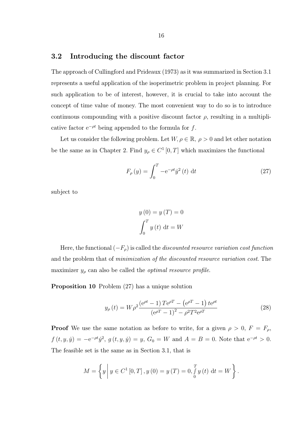#### 3.2 Introducing the discount factor

The approach of Cullingford and Prideaux (1973) as it was summarized in Section 3.1 represents a useful application of the isoperimetric problem in project planning. For such application to be of interest, however, it is crucial to take into account the concept of time value of money. The most convenient way to do so is to introduce continuous compounding with a positive discount factor  $\rho$ , resulting in a multiplicative factor  $e^{-\rho t}$  being appended to the formula for f.

Let us consider the following problem. Let  $W, \rho \in \mathbb{R}, \rho > 0$  and let other notation be the same as in Chapter 2. Find  $y_{\rho} \in C^{1}[0, T]$  which maximizes the functional

$$
F_{\rho}(y) = \int_0^T -e^{-\rho t} \dot{y}^2(t) dt
$$
 (27)

subject to

$$
y(0) = y(T) = 0
$$

$$
\int_0^T y(t) dt = W
$$

Here, the functional  $(-F_{\rho})$  is called the *discounted resource variation cost function* and the problem that of *minimization of the discounted resource variation cost*. The maximizer  $y_\rho$  can also be called the *optimal resource profile*.

Proposition 10 Problem (27) has a unique solution

$$
y_{\rho}(t) = W\rho^2 \frac{\left(e^{\rho t} - 1\right)Te^{\rho T} - \left(e^{\rho T} - 1\right)te^{\rho t}}{\left(e^{\rho T} - 1\right)^2 - \rho^2 T^2 e^{\rho T}}
$$
\n(28)

**Proof** We use the same notation as before to write, for a given  $\rho > 0$ ,  $F = F_{\rho}$ ,  $f(t, y, \dot{y}) = -e^{-\rho t} \dot{y}^{2}, g(t, y, \dot{y}) = y, G_{0} = W$  and  $A = B = 0$ . Note that  $e^{-\rho t} > 0$ . The feasible set is the same as in Section 3.1, that is

$$
M = \left\{ y \middle| y \in C^{1}[0, T], y(0) = y(T) = 0, \int_{0}^{T} y(t) dt = W \right\}.
$$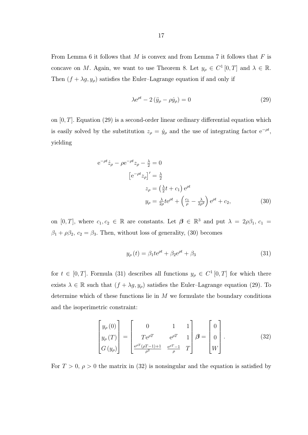From Lemma 6 it follows that  $M$  is convex and from Lemma 7 it follows that  $F$  is concave on M. Again, we want to use Theorem 8. Let  $y_{\rho} \in C^1[0,T]$  and  $\lambda \in \mathbb{R}$ . Then  $(f + \lambda g, y_\rho)$  satisfies the Euler–Lagrange equation if and only if

$$
\lambda e^{\rho t} - 2(\ddot{y}_\rho - \rho \dot{y}_\rho) = 0 \tag{29}
$$

on  $[0, T]$ . Equation (29) is a second-order linear ordinary differential equation which is easily solved by the substitution  $z_{\rho} = \dot{y}_{\rho}$  and the use of integrating factor  $e^{-\rho t}$ , yielding

$$
e^{-\rho t}\dot{z}_{\rho} - \rho e^{-\rho t}z_{\rho} - \frac{\lambda}{2} = 0
$$
  

$$
\left[e^{-\rho t}z_{\rho}\right]' = \frac{\lambda}{2}
$$
  

$$
z_{\rho} = \left(\frac{\lambda}{2}t + c_1\right)e^{\rho t}
$$
  

$$
y_{\rho} = \frac{\lambda}{2\rho}te^{\rho t} + \left(\frac{c_1}{\rho} - \frac{\lambda}{2\rho^2}\right)e^{\rho t} + c_2,
$$
 (30)

on [0, T], where  $c_1, c_2 \in \mathbb{R}$  are constants. Let  $\beta \in \mathbb{R}^3$  and put  $\lambda = 2\rho\beta_1$ ,  $c_1 =$  $\beta_1 + \rho \beta_2$ ,  $c_2 = \beta_3$ . Then, without loss of generality, (30) becomes

$$
y_{\rho}(t) = \beta_1 t e^{\rho t} + \beta_2 e^{\rho t} + \beta_3 \tag{31}
$$

for  $t \in [0, T]$ . Formula (31) describes all functions  $y_{\rho} \in C^1[0, T]$  for which there exists  $\lambda \in \mathbb{R}$  such that  $(f + \lambda g, y_\rho)$  satisfies the Euler–Lagrange equation (29). To determine which of these functions lie in  $M$  we formulate the boundary conditions and the isoperimetric constraint:

$$
\begin{bmatrix} y_{\rho}(0) \\ y_{\rho}(T) \\ G(y_{\rho}) \end{bmatrix} = \begin{bmatrix} 0 & 1 & 1 \\ Te^{\rho T} & e^{\rho T} & 1 \\ \frac{e^{\rho T}(\rho T - 1) + 1}{\rho^2} & \frac{e^{\rho T} - 1}{\rho} & T \end{bmatrix} \boldsymbol{\beta} = \begin{bmatrix} 0 \\ 0 \\ W \end{bmatrix}.
$$
 (32)

For  $T > 0$ ,  $\rho > 0$  the matrix in (32) is nonsingular and the equation is satisfied by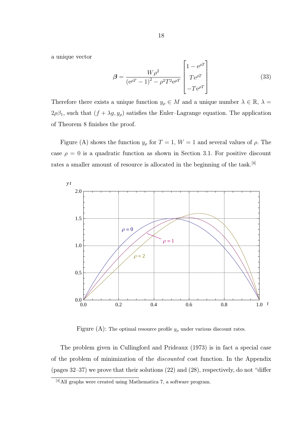a unique vector

$$
\beta = \frac{W\rho^2}{\left(e^{\rho T} - 1\right)^2 - \rho^2 T^2 e^{\rho T}} \begin{bmatrix} 1 - e^{\rho T} \\ T e^{\rho T} \\ -T e^{\rho T} \end{bmatrix}
$$
(33)

Therefore there exists a unique function  $y_{\rho} \in M$  and a unique number  $\lambda \in \mathbb{R}$ ,  $\lambda =$  $2\rho\beta_1$ , such that  $(f + \lambda g, y_\rho)$  satisfies the Euler–Lagrange equation. The application of Theorem 8 finishes the proof.

Figure (A) shows the function  $y_{\rho}$  for  $T = 1$ ,  $W = 1$  and several values of  $\rho$ . The case  $\rho = 0$  is a quadratic function as shown in Section 3.1. For positive discount rates a smaller amount of resource is allocated in the beginning of the task.<sup>[4]</sup>



Figure (A): The optimal resource profile  $y_\rho$  under various discount rates.

The problem given in Cullingford and Prideaux (1973) is in fact a special case of the problem of minimization of the discounted cost function. In the Appendix (pages 32–37) we prove that their solutions (22) and (28), respectively, do not "differ

<sup>[4]</sup>All graphs were created using Mathematica 7, a software program.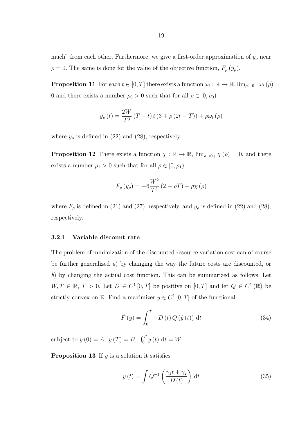much" from each other. Furthermore, we give a first-order approximation of  $y_\rho$  near  $\rho = 0$ . The same is done for the value of the objective function,  $F_{\rho}(y_{\rho})$ .

**Proposition 11** For each  $t \in [0, T]$  there exists a function  $\omega_t : \mathbb{R} \to \mathbb{R}$ ,  $\lim_{\rho \to 0+} \omega_t(\rho) =$ 0 and there exists a number  $\rho_0 > 0$  such that for all  $\rho \in [0, \rho_0)$ 

$$
y_{\rho}(t) = \frac{2W}{T^3} (T - t) t (3 + \rho (2t - T)) + \rho \omega_t (\rho)
$$

where  $y_\rho$  is defined in (22) and (28), respectively.

**Proposition 12** There exists a function  $\chi : \mathbb{R} \to \mathbb{R}$ ,  $\lim_{\rho \to 0+} \chi(\rho) = 0$ , and there exists a number  $\rho_1 > 0$  such that for all  $\rho \in [0, \rho_1)$ 

$$
F_{\rho}(y_{\rho}) = -6\frac{W^{2}}{T^{3}}(2 - \rho T) + \rho \chi(\rho)
$$

where  $F_{\rho}$  is defined in (21) and (27), respectively, and  $y_{\rho}$  is defined in (22) and (28), respectively.

#### 3.2.1 Variable discount rate

The problem of minimization of the discounted resource variation cost can of course be further generalized a) by changing the way the future costs are discounted, or b) by changing the actual cost function. This can be summarized as follows. Let  $W, T \in \mathbb{R}, T > 0$ . Let  $D \in C^1[0,T]$  be positive on  $[0,T]$  and let  $Q \in C^1(\mathbb{R})$  be strictly convex on R. Find a maximizer  $y \in C^1[0,T]$  of the functional

$$
\tilde{F}(y) = \int_0^T -D(t)Q(\dot{y}(t)) dt
$$
\n(34)

subject to  $y(0) = A$ ,  $y(T) = B$ ,  $\int_0^T y(t) dt = W$ .

**Proposition 13** If  $y$  is a solution it satisfies

$$
y(t) = \int \dot{Q}^{-1} \left( \frac{\gamma_1 t + \gamma_2}{D(t)} \right) dt \tag{35}
$$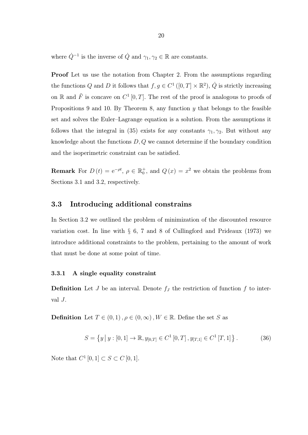where  $\dot{Q}^{-1}$  is the inverse of  $\dot{Q}$  and  $\gamma_1, \gamma_2 \in \mathbb{R}$  are constants.

Proof Let us use the notation from Chapter 2. From the assumptions regarding the functions Q and D it follows that  $f, g \in C^1([0, T] \times \mathbb{R}^2)$ ,  $\dot{Q}$  is strictly increasing on R and  $\tilde{F}$  is concave on  $C^1[0,T]$ . The rest of the proof is analogous to proofs of Propositions 9 and 10. By Theorem 8, any function y that belongs to the feasible set and solves the Euler–Lagrange equation is a solution. From the assumptions it follows that the integral in (35) exists for any constants  $\gamma_1, \gamma_2$ . But without any knowledge about the functions  $D, Q$  we cannot determine if the boundary condition and the isoperimetric constraint can be satisfied.

**Remark** For  $D(t) = e^{-\rho t}$ ,  $\rho \in \mathbb{R}_0^+$ , and  $Q(x) = x^2$  we obtain the problems from Sections 3.1 and 3.2, respectively.

### 3.3 Introducing additional constrains

In Section 3.2 we outlined the problem of minimization of the discounted resource variation cost. In line with § 6, 7 and 8 of Cullingford and Prideaux (1973) we introduce additional constraints to the problem, pertaining to the amount of work that must be done at some point of time.

#### 3.3.1 A single equality constraint

**Definition** Let J be an interval. Denote  $f<sub>J</sub>$  the restriction of function  $f$  to interval  $J$ .

**Definition** Let  $T \in (0,1)$ ,  $\rho \in (0,\infty)$ ,  $W \in \mathbb{R}$ . Define the set S as

$$
S = \left\{ y \, \middle| \, y : [0, 1] \to \mathbb{R}, y_{[0, T]} \in C^1 [0, T], y_{[T, 1]} \in C^1 [T, 1] \right\}.
$$
 (36)

Note that  $C^1[0,1] \subset S \subset C[0,1].$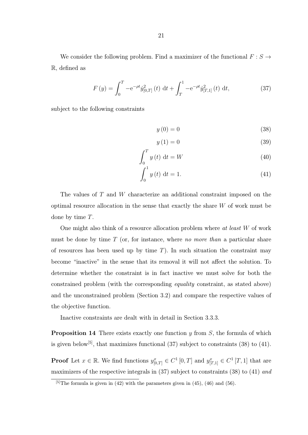$$
F(y) = \int_0^T -e^{-\rho t} \dot{y}_{[0,T]}^2(t) dt + \int_T^1 -e^{-\rho t} \dot{y}_{[T,1]}^2(t) dt,
$$
 (37)

subject to the following constraints

$$
y(0) = 0 \tag{38}
$$

$$
y(1) = 0 \tag{39}
$$

$$
\int_{0}^{T} y(t) dt = W \tag{40}
$$

$$
\int_{0}^{1} y(t) dt = 1.
$$
 (41)

The values of T and W characterize an additional constraint imposed on the optimal resource allocation in the sense that exactly the share W of work must be done by time T.

One might also think of a resource allocation problem where  $at$  least  $W$  of work must be done by time  $T$  (or, for instance, where no more than a particular share of resources has been used up by time  $T$ ). In such situation the constraint may become "inactive" in the sense that its removal it will not affect the solution. To determine whether the constraint is in fact inactive we must solve for both the constrained problem (with the corresponding equality constraint, as stated above) and the unconstrained problem (Section 3.2) and compare the respective values of the objective function.

Inactive constraints are dealt with in detail in Section 3.3.3.

**Proposition 14** There exists exactly one function y from  $S$ , the formula of which is given below<sup>[5]</sup>, that maximizes functional  $(37)$  subject to constraints  $(38)$  to  $(41)$ .

**Proof** Let  $x \in \mathbb{R}$ . We find functions  $y_{[0,T]}^x \in C^1[0,T]$  and  $y_{[T,1]}^x \in C^1[T,1]$  that are maximizers of the respective integrals in (37) subject to constraints (38) to (41) and

 $\sqrt{5}$ The formula is given in (42) with the parameters given in (45), (46) and (56).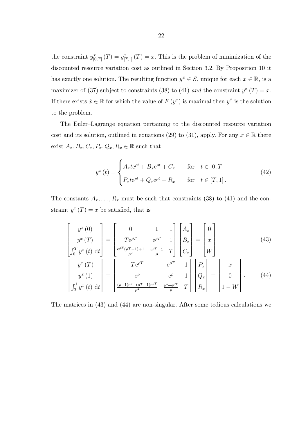the constraint  $y_{[0,T]}^x(T) = y_{[T,1]}^x(T) = x$ . This is the problem of minimization of the discounted resource variation cost as outlined in Section 3.2. By Proposition 10 it has exactly one solution. The resulting function  $y^x \in S$ , unique for each  $x \in \mathbb{R}$ , is a maximizer of (37) subject to constraints (38) to (41) and the constraint  $y^x(T) = x$ . If there exists  $\hat{x} \in \mathbb{R}$  for which the value of  $F(y^x)$  is maximal then  $y^{\hat{x}}$  is the solution to the problem.

The Euler–Lagrange equation pertaining to the discounted resource variation cost and its solution, outlined in equations (29) to (31), apply. For any  $x \in \mathbb{R}$  there exist  $A_x, B_x, C_x, P_x, Q_x, R_x \in \mathbb{R}$  such that

$$
y^{x}(t) = \begin{cases} A_{x}te^{\rho t} + B_{x}e^{\rho t} + C_{x} & \text{for } t \in [0, T] \\ P_{x}te^{\rho t} + Q_{x}e^{\rho t} + R_{x} & \text{for } t \in [T, 1]. \end{cases}
$$
(42)

The constants  $A_x, \ldots, R_x$  must be such that constraints (38) to (41) and the constraint  $y^x(T) = x$  be satisfied, that is

$$
\begin{bmatrix} y^x(0) \\ y^x(T) \\ \int_0^T y^x(t) dt \end{bmatrix} = \begin{bmatrix} 0 & 1 & 1 \\ Te^{\rho T} & e^{\rho T} & 1 \\ \frac{e^{\rho T}(\rho T - 1) + 1}{\rho^2} & \frac{e^{\rho T} - 1}{\rho} & T \end{bmatrix} \begin{bmatrix} A_x \\ B_x \\ C_x \end{bmatrix} = \begin{bmatrix} 0 \\ x \\ W \end{bmatrix}
$$
(43)  

$$
\begin{bmatrix} y^x(T) \\ y^x(T) \end{bmatrix} \begin{bmatrix} Te^{\rho T} & e^{\rho T} & 1 \\ te^{\rho T} & e^{\rho T} & 1 \end{bmatrix} \begin{bmatrix} P_x \\ P_x \end{bmatrix} \begin{bmatrix} x \\ x \end{bmatrix}
$$

$$
\begin{bmatrix} y^x(1) \\ \int_T^1 y^x(t) dt \end{bmatrix} = \begin{bmatrix} e^{\rho} & e^{\rho} & 1 \\ \frac{(\rho-1)e^{\rho}-(\rho T-1)e^{\rho T}}{\rho^2} & \frac{e^{\rho}-e^{\rho T}}{\rho} & T \end{bmatrix} \begin{bmatrix} Q_x \\ R_x \end{bmatrix} = \begin{bmatrix} 0 \\ 1-W \end{bmatrix}.
$$
 (44)

The matrices in (43) and (44) are non-singular. After some tedious calculations we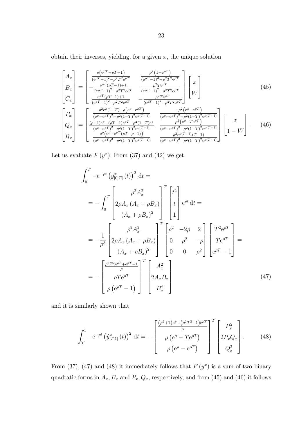obtain their inverses, yielding, for a given  $x$ , the unique solution

$$
\begin{bmatrix}\nA_x \\
B_x \\
C_x\n\end{bmatrix} = \begin{bmatrix}\n\frac{\rho(e^{\rho T} - \rho T - 1)}{(e^{\rho T} - 1)^2 - \rho^2 T^2 e^{\rho T}} & \frac{\rho^2 (1 - e^{\rho T})}{(e^{\rho T} - 1)^2 - \rho^2 T^2 e^{\rho T}} \\
-\frac{e^{\rho T} (\rho T - 1) + 1}{(e^{\rho T} - 1)^2 - \rho^2 T^2 e^{\rho T}} & \frac{\rho^2 T e^{\rho T}}{(e^{\rho T} - 1)^2 - \rho^2 T^2 e^{\rho T}} \\
\frac{e^{\rho T} (\rho T - 1) + 1}{(e^{\rho T} - 1)^2 - \rho^2 T^2 e^{\rho T}} & -\frac{\rho^2 T e^{\rho T}}{(e^{\rho T} - 1)^2 - \rho^2 T^2 e^{\rho T}}\n\end{bmatrix}\n\begin{bmatrix}\nx \\
W\n\end{bmatrix}
$$
\n(45)\n
$$
\begin{bmatrix}\nP_x \\
Q_x \\
Q_x\n\end{bmatrix} = \begin{bmatrix}\n\frac{\rho^2 e^{\rho} (1 - T) - \rho (e^{\rho} - e^{\rho T})}{(e^{\rho} - e^{\rho T})^2 - \rho^2 (1 - T)^2 e^{\rho (T + 1)}} & \frac{-\rho^2 (e^{\rho} - e^{\rho T})}{(e^{\rho} - e^{\rho T})^2 - \rho^2 (1 - T)^2 e^{\rho (T + 1)}} \\
\frac{(\rho - 1) e^{\rho} - (\rho T - 1) e^{\rho T} - \rho^2 (1 - T) e^{\rho}}{(e^{\rho} - e^{\rho T})^2 - \rho^2 (1 - T)^2 e^{\rho (T + 1)}}\n\end{bmatrix}\n\begin{bmatrix}\nx \\
\frac{x}{(e^{\rho} - e^{\rho T})^2 - \rho^2 (1 - T)^2 e^{\rho (T + 1)}} & \frac{\rho^2 (e^{\rho} - T e^{\rho T})}{(e^{\rho} - e^{\rho T})^2 - \rho^2 (1 - T)^2 e^{\rho (T + 1)}}\n\end{bmatrix}.\n\begin{bmatrix}\nx \\
1 - W\n\end{bmatrix}.\n\tag{46}
$$

Let us evaluate  $F(y^x)$ . From (37) and (42) we get

$$
\int_{0}^{T} -e^{-\rho t} (\dot{y}_{[0,T]}^{x}(t))^{2} dt =
$$
\n
$$
= -\int_{0}^{T} \begin{bmatrix} \rho^{2} A_{x}^{2} \\ 2\rho A_{x} (A_{x} + \rho B_{x}) \\ (A_{x} + \rho B_{x})^{2} \end{bmatrix}^{T} \begin{bmatrix} t^{2} \\ t \\ 1 \end{bmatrix} e^{\rho t} dt =
$$
\n
$$
= -\frac{1}{\rho^{3}} \begin{bmatrix} \rho^{2} A_{x}^{2} \\ 2\rho A_{x} (A_{x} + \rho B_{x}) \end{bmatrix}^{T} \begin{bmatrix} \rho^{2} & -2\rho & 2 \\ 0 & \rho^{2} & -\rho \\ 0 & 0 & \rho^{2} \end{bmatrix} \begin{bmatrix} T^{2} e^{\rho T} \\ T e^{\rho T} \\ e^{\rho T} - 1 \end{bmatrix} =
$$
\n
$$
= -\begin{bmatrix} \frac{\rho^{2} T^{2} e^{\rho T} + e^{\rho T} - 1}{\rho} \\ \rho T e^{\rho T} \\ \rho (e^{\rho T} - 1) \end{bmatrix}^{T} \begin{bmatrix} A_{x}^{2} \\ 2A_{x} B_{x} \\ B_{x}^{2} \end{bmatrix}
$$
\n
$$
(47)
$$

and it is similarly shown that

$$
\int_{T}^{1} -e^{-\rho t} \left(\dot{y}_{[T,1]}^{x}(t)\right)^{2} dt = -\left[\begin{array}{c} \frac{(\rho^{2}+1)e^{\rho}-(\rho^{2}T^{2}+1)e^{\rho T}}{\rho} \\ \rho \left(e^{\rho}-Te^{\rho T}\right) \\ \rho \left(e^{\rho}-e^{\rho T}\right) \end{array}\right]^{T} \left[\begin{array}{c} P_{x}^{2} \\ 2P_{x}Q_{x} \\ Q_{x}^{2} \end{array}\right].
$$
 (48)

From (37), (47) and (48) it immediately follows that  $F(y^x)$  is a sum of two binary quadratic forms in  $A_x, B_x$  and  $P_x, Q_x$ , respectively, and from (45) and (46) it follows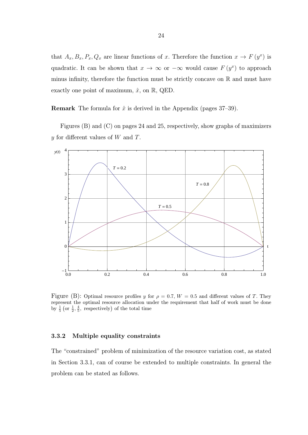that  $A_x, B_x, P_x, Q_x$  are linear functions of x. Therefore the function  $x \to F(y^x)$  is quadratic. It can be shown that  $x \to \infty$  or  $-\infty$  would cause  $F(y^x)$  to approach minus infinity, therefore the function must be strictly concave on  $\mathbb R$  and must have exactly one point of maximum,  $\hat{x}$ , on  $\mathbb{R}$ , QED.

**Remark** The formula for  $\hat{x}$  is derived in the Appendix (pages 37–39).

Figures (B) and (C) on pages 24 and 25, respectively, show graphs of maximizers y for different values of W and T.



Figure (B): Optimal resource profiles y for  $\rho = 0.7$ ,  $W = 0.5$  and different values of T. They represent the optimal resource allocation under the requirement that half of work must be done by  $\frac{1}{5}$  (or  $\frac{1}{2}, \frac{4}{5}$ , respectively) of the total time

#### 3.3.2 Multiple equality constraints

The "constrained" problem of minimization of the resource variation cost, as stated in Section 3.3.1, can of course be extended to multiple constraints. In general the problem can be stated as follows.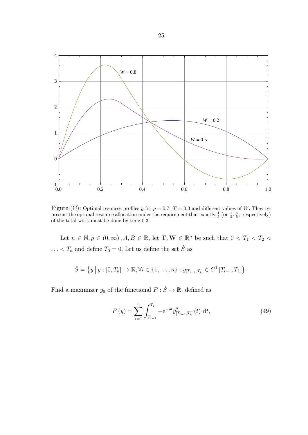

Figure (C): Optimal resource profiles y for  $\rho = 0.7$ ,  $T = 0.3$  and different values of W. They represent the optimal resource allocation under the requirement that exactly  $\frac{1}{5}$  (or  $\frac{1}{2}$ ,  $\frac{4}{5}$ , respectively) of the total work must be done by time 0.3.

Let  $n \in \mathbb{N}, \rho \in (0, \infty), A, B \in \mathbb{R}, \text{ let } \mathbf{T}, \mathbf{W} \in \mathbb{R}^n \text{ be such that } 0 < T_1 < T_2 <$ ...<  $T_n$  and define  $T_0 = 0$ . Let us define the set  $\hat{S}$  as

$$
\hat{S} = \{y \mid y : [0, T_n] \to \mathbb{R}, \forall i \in \{1, ..., n\} : y_{[T_{i-1}, T_i]} \in C^1[T_{i-1}, T_i] \}.
$$

Find a maximizer  $y_0$  of the functional  $F : \hat{S} \to \mathbb{R}$ , defined as

$$
F(y) = \sum_{i=1}^{n} \int_{T_{i-1}}^{T_i} -e^{-\rho t} \dot{y}_{[T_{i-1},T_i]}^2(t) dt,
$$
\n(49)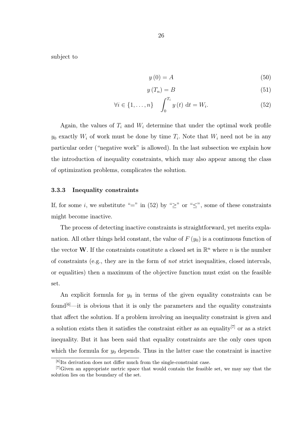subject to

$$
y(0) = A \tag{50}
$$

$$
y(T_n) = B \tag{51}
$$

$$
\forall i \in \{1, \dots, n\} \quad \int_0^{T_i} y(t) \, \mathrm{d}t = W_i. \tag{52}
$$

Again, the values of  $T_i$  and  $W_i$  determine that under the optimal work profile  $y_0$  exactly  $W_i$  of work must be done by time  $T_i$ . Note that  $W_i$  need not be in any particular order ("negative work" is allowed). In the last subsection we explain how the introduction of inequality constraints, which may also appear among the class of optimization problems, complicates the solution.

#### 3.3.3 Inequality constraints

If, for some i, we substitute "=" in (52) by " $\geq$ " or " $\leq$ ", some of these constraints might become inactive.

The process of detecting inactive constraints is straightforward, yet merits explanation. All other things held constant, the value of  $F(y_0)$  is a continuous function of the vector W. If the constraints constitute a closed set in  $\mathbb{R}^n$  where n is the number of constraints (e.g., they are in the form of *not* strict inequalities, closed intervals, or equalities) then a maximum of the objective function must exist on the feasible set.

An explicit formula for  $y_0$  in terms of the given equality constraints can be found<sup>[6]</sup>—it is obvious that it is only the parameters and the equality constraints that affect the solution. If a problem involving an inequality constraint is given and a solution exists then it satisfies the constraint either as an equality<sup>[7]</sup> or as a strict inequality. But it has been said that equality constraints are the only ones upon which the formula for  $y_0$  depends. Thus in the latter case the constraint is inactive

 $[6]$ Its derivation does not differ much from the single-constraint case.

 $[7]$ Given an appropriate metric space that would contain the feasible set, we may say that the solution lies on the boundary of the set.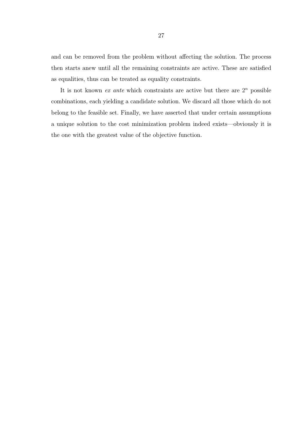and can be removed from the problem without affecting the solution. The process then starts anew until all the remaining constraints are active. These are satisfied as equalities, thus can be treated as equality constraints.

It is not known *ex ante* which constraints are active but there are  $2<sup>n</sup>$  possible combinations, each yielding a candidate solution. We discard all those which do not belong to the feasible set. Finally, we have asserted that under certain assumptions a unique solution to the cost minimization problem indeed exists—obviously it is the one with the greatest value of the objective function.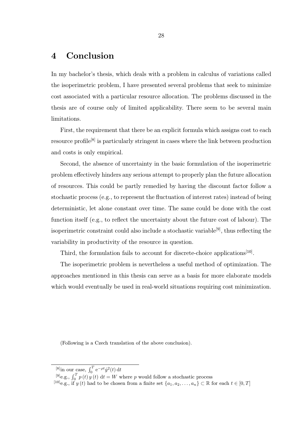# 4 Conclusion

In my bachelor's thesis, which deals with a problem in calculus of variations called the isoperimetric problem, I have presented several problems that seek to minimize cost associated with a particular resource allocation. The problems discussed in the thesis are of course only of limited applicability. There seem to be several main limitations.

First, the requirement that there be an explicit formula which assigns cost to each resource profile[8] is particularly stringent in cases where the link between production and costs is only empirical.

Second, the absence of uncertainty in the basic formulation of the isoperimetric problem effectively hinders any serious attempt to properly plan the future allocation of resources. This could be partly remedied by having the discount factor follow a stochastic process (e.g., to represent the fluctuation of interest rates) instead of being deterministic, let alone constant over time. The same could be done with the cost function itself (e.g., to reflect the uncertainty about the future cost of labour). The isoperimetric constraint could also include a stochastic variable<sup>[9]</sup>, thus reflecting the variability in productivity of the resource in question.

Third, the formulation fails to account for discrete-choice applications<sup>[10]</sup>.

The isoperimetric problem is nevertheless a useful method of optimization. The approaches mentioned in this thesis can serve as a basis for more elaborate models which would eventually be used in real-world situations requiring cost minimization.

(Following is a Czech translation of the above conclusion).

<sup>&</sup>lt;sup>[8]</sup>in our case,  $\int_0^T e^{-\rho t} \dot{y}^2(t) dt$ 

<sup>&</sup>lt;sup>[9]</sup>e.g.,  $\int_0^T p(t) y(t) dt = W$  where p would follow a stochastic process

<sup>&</sup>lt;sup>[10]</sup>e.g., if y (t) had to be chosen from a finite set  $\{a_1, a_2, \ldots, a_n\} \subset \mathbb{R}$  for each  $t \in [0, T]$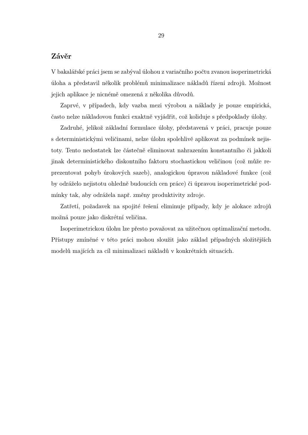## Závěr

V bakalářské práci jsem se zabýval úlohou z variačního počtu zvanou isoperimetrická úloha a představil několik problémů minimalizace nákladů řízení zdrojů. Možnost jejich aplikace je nicnémě omezená z několika důvodů.

Zaprvé, v případech, kdy vazba mezi výrobou a náklady je pouze empirická, často nelze nákladovou funkci exaktně vyjádřit, což koliduje s předpoklady úlohy.

Zadruhé, jelikož základní formulace úlohy, představená v práci, pracuje pouze s deterministickými veličinami, nelze úlohu spolehlivě aplikovat za podmínek nejistoty. Tento nedostatek lze částečně eliminovat nahrazením konstantního či jakkoli jinak deterministického diskontního faktoru stochastickou veličinou (což může reprezentovat pohyb úrokových sazeb), analogickou úpravou nákladové funkce (což by odráželo nejistotu ohledně budoucích cen práce) či úpravou isoperimetrické podmínky tak, aby odrážela např. změny produktivity zdroje.

Zatřetí, požadavek na spojité řešení eliminuje případy, kdy je alokace zdrojů možná pouze jako diskrétní veličina.

Isoperimetrickou úlohu lze přesto považovat za užitečnou optimalizační metodu. Přístupy zmíněné v této práci mohou sloužit jako základ případných složitějších modelů majících za cíl minimalizaci nákladů v konkrétních situacích.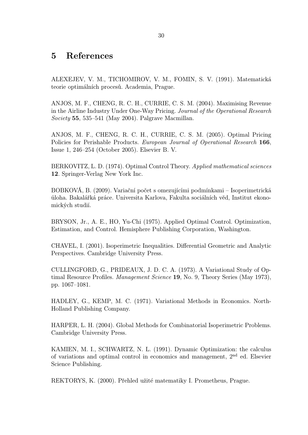# 5 References

ALEXEJEV, V. M., TICHOMIROV, V. M., FOMIN, S. V. (1991). Matematická teorie optimálních procesů. Academia, Prague.

ANJOS, M. F., CHENG, R. C. H., CURRIE, C. S. M. (2004). Maximising Revenue in the Airline Industry Under One-Way Pricing. Journal of the Operational Research Society 55, 535–541 (May 2004). Palgrave Macmillan.

ANJOS, M. F., CHENG, R. C. H., CURRIE, C. S. M. (2005). Optimal Pricing Policies for Perishable Products. European Journal of Operational Research 166, Issue 1, 246–254 (October 2005). Elsevier B. V.

BERKOVITZ, L. D. (1974). Optimal Control Theory. Applied mathematical sciences 12. Springer-Verlag New York Inc.

BOBKOVÁ, B. (2009). Variační počet s omezujícími podmínkami – Isoperimetrická úloha. Bakalářká práce. Universita Karlova, Fakulta sociálních věd, Institut ekonomických studií.

BRYSON, Jr., A. E., HO, Yu-Chi (1975). Applied Optimal Control. Optimization, Estimation, and Control. Hemisphere Publishing Corporation, Washington.

CHAVEL, I. (2001). Isoperimetric Inequalities. Differential Geometric and Analytic Perspectives. Cambridge University Press.

CULLINGFORD, G., PRIDEAUX, J. D. C. A. (1973). A Variational Study of Optimal Resource Profiles. Management Science 19, No. 9, Theory Series (May 1973), pp. 1067–1081.

HADLEY, G., KEMP, M. C. (1971). Variational Methods in Economics. North-Holland Publishing Company.

HARPER, L. H. (2004). Global Methods for Combinatorial Isoperimetric Problems. Cambridge University Press.

KAMIEN, M. I., SCHWARTZ, N. L. (1991). Dynamic Optimization: the calculus of variations and optimal control in economics and management, 2nd ed. Elsevier Science Publishing.

REKTORYS, K. (2000). Přehled užité matematiky I. Prometheus, Prague.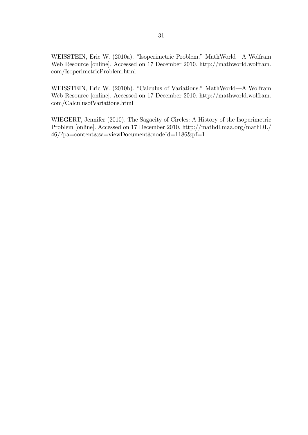WEISSTEIN, Eric W. (2010a). "Isoperimetric Problem." MathWorld—A Wolfram Web Resource [online]. Accessed on 17 December 2010. http://mathworld.wolfram. com/IsoperimetricProblem.html

WEISSTEIN, Eric W. (2010b). "Calculus of Variations." MathWorld—A Wolfram Web Resource [online]. Accessed on 17 December 2010. http://mathworld.wolfram. com/CalculusofVariations.html

WIEGERT, Jennifer (2010). The Sagacity of Circles: A History of the Isoperimetric Problem [online]. Accessed on 17 December 2010. http://mathdl.maa.org/mathDL/ 46/?pa=content&sa=viewDocument&nodeId=1186&pf=1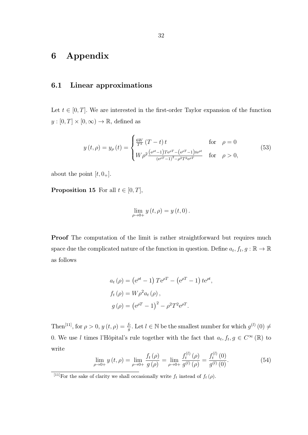# 6 Appendix

# 6.1 Linear approximations

Let  $t \in [0, T]$ . We are interested in the first-order Taylor expansion of the function  $y : [0, T] \times [0, \infty) \to \mathbb{R}$ , defined as

$$
y(t,\rho) = y_{\rho}(t) = \begin{cases} \frac{6W}{T^3} (T-t) t & \text{for } \rho = 0\\ W \rho^2 \frac{(e^{\rho t} - 1)Te^{\rho T} - (e^{\rho T} - 1)te^{\rho t}}{(e^{\rho T} - 1)^2 - \rho^2 T^2 e^{\rho T}} & \text{for } \rho > 0, \end{cases}
$$
(53)

about the point  $[t, 0_+]$ .

**Proposition 15** For all  $t \in [0, T]$ ,

$$
\lim_{\rho \to 0+} y(t, \rho) = y(t, 0).
$$

Proof The computation of the limit is rather straightforward but requires much space due the complicated nature of the function in question. Define  $a_t, f_t, g : \mathbb{R} \to \mathbb{R}$ as follows

$$
a_t(\rho) = (e^{\rho t} - 1) T e^{\rho T} - (e^{\rho T} - 1) t e^{\rho t},
$$
  
\n
$$
f_t(\rho) = W \rho^2 a_t(\rho),
$$
  
\n
$$
g(\rho) = (e^{\rho T} - 1)^2 - \rho^2 T^2 e^{\rho T}.
$$

Then<sup>[11]</sup>, for  $\rho > 0$ ,  $y(t, \rho) = \frac{f_t}{g}$ . Let  $l \in \mathbb{N}$  be the smallest number for which  $g^{(l)}(0) \neq$ 0. We use l times l'Hôpital's rule together with the fact that  $a_t, f_t, g \in C^{\infty}(\mathbb{R})$  to write  $\langle n \rangle$  $\langle \rangle$ 

$$
\lim_{\rho \to 0+} y(t,\rho) = \lim_{\rho \to 0+} \frac{f_t(\rho)}{g(\rho)} = \lim_{\rho \to 0+} \frac{f_t^{(l)}(\rho)}{g^{(l)}(\rho)} = \frac{f_t^{(l)}(0)}{g^{(l)}(0)}.
$$
\n(54)

<sup>&</sup>lt;sup>[11]</sup>For the sake of clarity we shall occasionally write  $f_t$  instead of  $f_t(\rho)$ .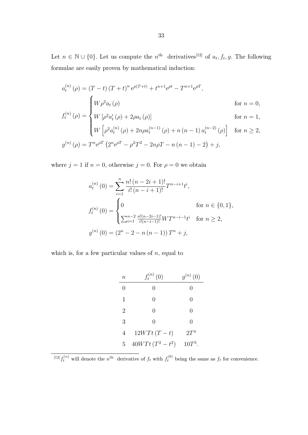Let  $n \in \mathbb{N} \cup \{0\}$ . Let us compute the  $n^{\text{th}}$  derivatives<sup>[12]</sup> of  $a_t, f_t, g$ . The following formulae are easily proven by mathematical induction:

$$
a_t^{(n)}(\rho) = (T - t) (T + t)^n e^{\rho(T + t)} + t^{n+1} e^{\rho t} - T^{n+1} e^{\rho T},
$$
  
\nfor  $n = 0$ ,  
\n
$$
f_t^{(n)}(\rho) = \begin{cases} W \rho^2 a_t(\rho) & \text{for } n = 0, \\ W \left[ \rho^2 a_t^{(n)}(\rho) + 2\rho a_t(\rho) \right] & \text{for } n = 1, \\ W \left[ \rho^2 a_t^{(n)}(\rho) + 2n\rho a_t^{(n-1)}(\rho) + n (n-1) a_t^{(n-2)}(\rho) \right] & \text{for } n \ge 2, \\ g^{(n)}(\rho) = T^n e^{\rho T} \left( 2^n e^{\rho T} - \rho^2 T^2 - 2n\rho T - n (n-1) - 2 \right) + j, \end{cases}
$$

where  $j = 1$  if  $n = 0$ , otherwise  $j = 0$ . For  $\rho = 0$  we obtain

$$
a_t^{(n)}(0) = \sum_{i=1}^n \frac{n! (n-2i+1)!}{i! (n-i+1)!} T^{n-i+1} t^i,
$$
  

$$
f_t^{(n)}(0) = \begin{cases} 0 & \text{for } n \in \{0,1\}, \\ \sum_{i=1}^{n-2} \frac{n!(n-2i-1)!}{i!(n-i-1)!} W T^{n-i-1} t^i & \text{for } n \ge 2, \end{cases}
$$
  

$$
g^{(n)}(0) = (2^n - 2 - n(n-1)) T^n + j,
$$

which is, for a few particular values of  $n$ , equal to

| $\, n$         | $f_t^{(n)}(0)$   | $g^{(n)}(0)$     |
|----------------|------------------|------------------|
| 0              | 0                | $\left( \right)$ |
| $\mathbf{1}$   | $\left( \right)$ | 0                |
| $\overline{2}$ | $\left( \right)$ | 0                |
| 3              | 0                | 0                |
| 4              | $12WTt(T-t)$     | $2T^4$           |
| 5              | $40WTt(T^2-t^2)$ | $10T^5$ .        |

<sup>&</sup>lt;sup>[12]</sup> $f_t^{(n)}$  will denote the n<sup>th</sup> derivative of  $f_t$  with  $f_t^{(0)}$  being the same as  $f_t$  for convenience.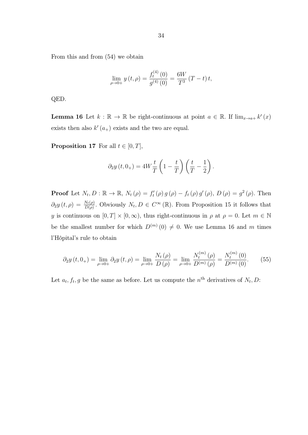From this and from (54) we obtain

$$
\lim_{\rho \to 0+} y(t, \rho) = \frac{f_t^{(4)}(0)}{g^{(4)}(0)} = \frac{6W}{T^3} (T - t) t,
$$

QED.

**Lemma 16** Let  $k : \mathbb{R} \to \mathbb{R}$  be right-continuous at point  $a \in \mathbb{R}$ . If  $\lim_{x \to a^+} k'(x)$ exists then also  $k'(a_+)$  exists and the two are equal.

**Proposition 17** For all  $t \in [0, T]$ ,

$$
\partial_2 y(t, 0_+) = 4W \frac{t}{T} \left( 1 - \frac{t}{T} \right) \left( \frac{t}{T} - \frac{1}{2} \right).
$$

**Proof** Let  $N_t, D : \mathbb{R} \to \mathbb{R}$ ,  $N_t(\rho) = f'_t(\rho) g(\rho) - f_t(\rho) g'(\rho)$ ,  $D(\rho) = g^2(\rho)$ . Then  $\partial_2 y(t,\rho) = \frac{N_t(\rho)}{D(\rho)}$ . Obviously  $N_t, D \in C^\infty(\mathbb{R})$ . From Proposition 15 it follows that y is continuous on  $[0, T] \times [0, \infty)$ , thus right-continuous in  $\rho$  at  $\rho = 0$ . Let  $m \in \mathbb{N}$ be the smallest number for which  $D^{(m)}(0) \neq 0$ . We use Lemma 16 and m times l'Hôpital's rule to obtain

$$
\partial_2 y(t, 0_+) = \lim_{\rho \to 0^+} \partial_2 y(t, \rho) = \lim_{\rho \to 0^+} \frac{N_t(\rho)}{D(\rho)} = \lim_{\rho \to 0^+} \frac{N_t^{(m)}(\rho)}{D^{(m)}(\rho)} = \frac{N_t^{(m)}(0)}{D^{(m)}(0)}.
$$
(55)

Let  $a_t, f_t, g$  be the same as before. Let us compute the  $n<sup>th</sup>$  derivatives of  $N_t, D$ :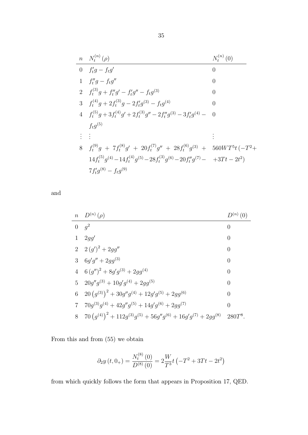$$
\begin{array}{ll}\n n & N_t^{(n)}(\rho) & N_t^{(n)}(0) \\
 \hline\n 0 & f_t'g - f_tg' & 0 \\
 1 & f_t''g - f_tg'' & 0 \\
 2 & f_t^{(3)}g + f_t''g' - f_t'g'' - f_tg^{(3)} & 0 \\
 3 & f_t^{(4)}g + 2f_t^{(3)}g - 2f_t'g^{(3)} - f_tg^{(4)} & 0 \\
 4 & f_t^{(5)}g + 3f_t^{(4)}g' + 2f_t^{(3)}g'' - 2f_t''g^{(3)} - 3f_t'g^{(4)} - 0 \\
 4 & f_t^{(5)}g & 0 \\
 \vdots & \vdots & \vdots \\
 8 & f_t^{(9)}g + 7f_t^{(8)}g' + 20f_t^{(7)}g'' + 28f_t^{(6)}g^{(3)} + 560WT^5t(-T^2 + 14f_t^{(5)}g^{(4)} - 14f_t^{(4)}g^{(5)} - 28f_t^{(3)}g^{(6)} - 20f_t''g^{(7)} - 3Tt - 2t^2 \\
 7f_t'g^{(8)} - f_tg^{(9)}\n \end{array}
$$

and

|                 | $n \quad D^{(n)}(\rho)$                                                      | $D^{(n)}(0)$   |
|-----------------|------------------------------------------------------------------------------|----------------|
| $\overline{0}$  | $q^2$                                                                        | $\overline{0}$ |
| $\mathbf 1$     | 2gg'                                                                         | $\overline{0}$ |
|                 | 2 $2(g')^2 + 2gg''$                                                          | $\theta$       |
| 3               | $6g'g'' + 2gg^{(3)}$                                                         | $\theta$       |
| $\overline{4}$  | $6(g'')^2 + 8g'g^{(3)} + 2gg^{(4)}$                                          | $\theta$       |
| 5 <sup>5</sup>  | $20g''g^{(3)} + 10g'g^{(4)} + 2gg^{(5)}$                                     | $\theta$       |
| $6\phantom{.0}$ | $20(g^{(3)})^2 + 30g''g^{(4)} + 12g'g^{(5)} + 2gg^{(6)}$                     | $\overline{0}$ |
| 7               | $70g^{(3)}g^{(4)} + 42g''g^{(5)} + 14g'g^{(6)} + 2g g^{(7)}$                 | $\overline{0}$ |
| 8               | $70(g^{(4)})^2 + 112g^{(3)}g^{(5)} + 56g''g^{(6)} + 16g'g^{(7)} + 2gg^{(8)}$ | $280T^8$ .     |

From this and from (55) we obtain

$$
\partial_2 y(t, 0_+) = \frac{N_t^{(8)}(0)}{D^{(8)}(0)} = 2 \frac{W}{T^3} t \left(-T^2 + 3Tt - 2t^2\right)
$$

from which quickly follows the form that appears in Proposition 17, QED.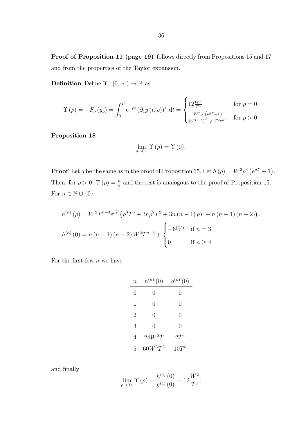Proof of Proposition 11 (page 19) follows directly from Propositions 15 and 17 and from the properties of the Taylor expansion.

**Definition** Define  $\Upsilon : [0, \infty) \to \mathbb{R}$  as

$$
\Upsilon\left(\rho\right)=-F_{\rho}\left(y_{\rho}\right)=\int_{0}^{T}\mathrm{e}^{-\rho t}\left(\partial_{1} y\left(t,\rho\right)\right)^{2}\,\mathrm{d} t=\begin{cases}12\frac{W^{2}}{T^{3}}\qquad\qquad\text{for }\rho=0,\\ \frac{W^{2}\rho^{3}\left(\mathrm{e}^{\rho T}-1\right)}{\left(\mathrm{e}^{\rho T}-1\right)^{2}-\rho^{2}T^{2}\mathrm{e}^{\rho T}}\quad\text{for }\rho>0.\end{cases}
$$

Proposition 18

$$
\lim_{\rho\to0+}\Upsilon\left(\rho\right)=\Upsilon\left(0\right).
$$

**Proof** Let g be the same as in the proof of Proposition 15. Let  $h(\rho) = W^2 \rho^3 (\mathrm{e}^{\rho T} - 1)$ . Then, for  $\rho > 0$ ,  $\Upsilon(\rho) = \frac{h}{g}$  and the rest is analogous to the proof of Proposition 15. For  $n \in \mathbb{N} \cup \{0\}$ 

$$
h^{(n)}(\rho) = W^2 T^{n-3} e^{\rho T} \left( \rho^3 T^3 + 3n \rho^2 T^2 + 3n (n-1) \rho T + n (n-1) (n-2) \right),
$$
  

$$
h^{(n)}(0) = n (n-1) (n-2) W^2 T^{n-3} + \begin{cases} -6W^2 & \text{if } n = 3, \\ 0 & \text{if } n \ge 4. \end{cases}
$$

For the first few  $n$  we have

| $\it n$          | $h^{(n)}(0)$     | $g^{(n)}(0)$     |
|------------------|------------------|------------------|
| $\left( \right)$ | $\left( \right)$ | $\left( \right)$ |
| 1                | $\left( \right)$ | $\left( \right)$ |
| 2                | $\left( \right)$ | 0                |
| 3                | $\left( \right)$ | 0                |
| 4                | $24W^2T$         | $2T^4$           |
| 5                | $60W^{3}T^{2}$   | $10T^5$          |

and finally

$$
\lim_{\rho \to 0+} \Upsilon(\rho) = \frac{h^{(4)}(0)}{g^{(4)}(0)} = 12 \frac{W^2}{T^3},
$$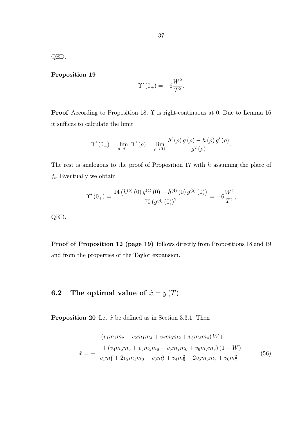QED.

Proposition 19

$$
\Upsilon'(0_+) = -6\frac{W^2}{T^2}.
$$

Proof According to Proposition 18, Υ is right-continuous at 0. Due to Lemma 16 it suffices to calculate the limit

$$
\Upsilon'(0_+) = \lim_{\rho \to 0+} \Upsilon'(\rho) = \lim_{\rho \to 0+} \frac{h'(\rho) g(\rho) - h(\rho) g'(\rho)}{g^2(\rho)}.
$$

The rest is analogous to the proof of Proposition 17 with  $h$  assuming the place of  $f_t$ . Eventually we obtain

$$
\Upsilon'(0_+) = \frac{14 \left( h^{(5)}\left(0\right) g^{(4)}\left(0\right) - h^{(4)}\left(0\right) g^{(5)}\left(0\right) \right)}{70 \left( g^{(4)}\left(0\right) \right)^2} = -6 \frac{W^2}{T^2},
$$

QED.

Proof of Proposition 12 (page 19) follows directly from Propositions 18 and 19 and from the properties of the Taylor expansion.

# **6.2** The optimal value of  $\hat{x} = y(T)$

**Proposition 20** Let  $\hat{x}$  be defined as in Section 3.3.1. Then

$$
(v_1m_1m_2 + v_2m_1m_4 + v_2m_3m_2 + v_3m_3m_4)W +
$$
  
+ 
$$
(v_4m_5m_6 + v_5m_5m_8 + v_5m_7m_6 + v_6m_7m_8)(1 - W)
$$
  

$$
\hat{x} = -\frac{v_1m_1^2 + 2v_2m_1m_3 + v_3m_3^2 + v_4m_5^2 + 2v_5m_5m_7 + v_6m_7^2}{v_1m_1^2 + 2v_2m_1m_3 + v_3m_3^2 + v_4m_5^2 + 2v_5m_5m_7 + v_6m_7^2}.
$$
 (56)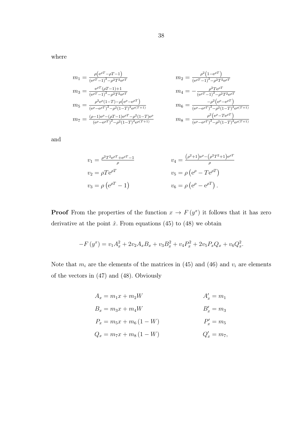where

$$
m_1 = \frac{\rho(e^{\rho T} - \rho T - 1)}{(e^{\rho T} - 1)^2 - \rho^2 T^2 e^{\rho T}} \qquad m_2 = \frac{\rho^2 (1 - e^{\rho T})}{(e^{\rho T} - 1)^2 - \rho^2 T^2 e^{\rho T}}
$$
  
\n
$$
m_3 = \frac{e^{\rho T} (\rho T - 1) + 1}{(e^{\rho T} - 1)^2 - \rho^2 T^2 e^{\rho T}} \qquad m_4 = -\frac{\rho^2 T e^{\rho T}}{(e^{\rho T} - 1)^2 - \rho^2 T^2 e^{\rho T}}
$$
  
\n
$$
m_5 = \frac{\rho^2 e^{\rho} (1 - T) - \rho (e^{\rho} - e^{\rho T})}{(e^{\rho} - e^{\rho T})^2 - \rho^2 (1 - T)^2 e^{\rho (T + 1)}}
$$
  
\n
$$
m_6 = \frac{-\rho^2 (e^{\rho} - e^{\rho T})}{(e^{\rho} - e^{\rho T})^2 - \rho^2 (1 - T)^2 e^{\rho (T + 1)}}
$$
  
\n
$$
m_7 = \frac{(\rho - 1)e^{\rho} - (\rho T - 1)e^{\rho T} - \rho^2 (1 - T)^2 e^{\rho (T + 1)}}{(e^{\rho} - e^{\rho T})^2 - \rho^2 (1 - T)^2 e^{\rho (T + 1)}}
$$
  
\n
$$
m_8 = \frac{\rho^2 (e^{\rho} - T e^{\rho T})}{(e^{\rho} - e^{\rho T})^2 - \rho^2 (1 - T)^2 e^{\rho (T + 1)}}
$$

and

$$
v_1 = \frac{\rho^2 T^2 e^{\rho T} + e^{\rho T} - 1}{\rho} \qquad v_4 = \frac{(\rho^2 + 1) e^{\rho} - (\rho^2 T^2 + 1) e^{\rho T}}{\rho}
$$
  

$$
v_2 = \rho T e^{\rho T} \qquad v_5 = \rho (e^{\rho} - T e^{\rho T})
$$
  

$$
v_3 = \rho (e^{\rho T} - 1) \qquad v_6 = \rho (e^{\rho} - e^{\rho T}).
$$

**Proof** From the properties of the function  $x \to F(y^x)$  it follows that it has zero derivative at the point  $\hat{x}$ . From equations (45) to (48) we obtain

$$
-F(y^x) = v_1 A_x^2 + 2v_2 A_x B_x + v_3 B_x^2 + v_4 P_x^2 + 2v_5 P_x Q_x + v_6 Q_x^2.
$$

Note that  $m_i$  are the elements of the matrices in (45) and (46) and  $v_i$  are elements of the vectors in (47) and (48). Obviously

$$
A_x = m_1 x + m_2 W
$$
  
\n
$$
B_x = m_3 x + m_4 W
$$
  
\n
$$
P_x = m_5 x + m_6 (1 - W)
$$
  
\n
$$
Q_x = m_7 x + m_8 (1 - W)
$$
  
\n
$$
A'_x = m_1
$$
  
\n
$$
B'_x = m_3
$$
  
\n
$$
P'_x = m_5
$$
  
\n
$$
Q'_x = m_7
$$